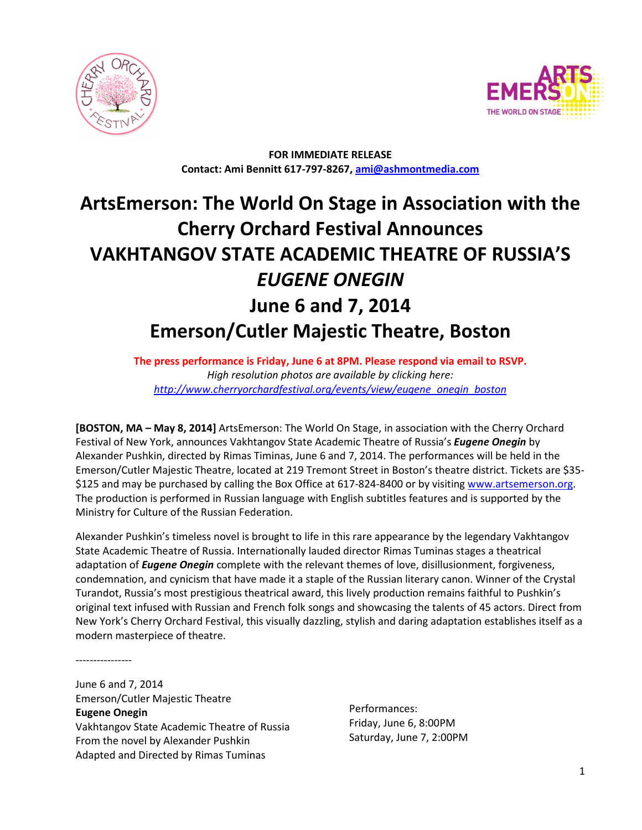



**FOR IMMEDIATE RELEASE Contact: Ami Bennitt 617‐797‐8267, ami@ashmontmedia.com** 

# **ArtsEmerson: The World On Stage in Association with the Cherry Orchard Festival Announces VAKHTANGOV STATE ACADEMIC THEATRE OF RUSSIA'S**  *EUGENE ONEGIN* **June 6 and 7, 2014 Emerson/Cutler Majestic Theatre, Boston**

**The press performance is Friday, June 6 at 8PM. Please respond via email to RSVP.** *High resolution photos are available by clicking here: http://www.cherryorchardfestival.org/events/view/eugene\_onegin\_boston* 

**[BOSTON, MA – May 8, 2014]** ArtsEmerson: The World On Stage, in association with the Cherry Orchard Festival of New York, announces Vakhtangov State Academic Theatre of Russia's *Eugene Onegin* by Alexander Pushkin, directed by Rimas Timinas, June 6 and 7, 2014. The performances will be held in the Emerson/Cutler Majestic Theatre, located at 219 Tremont Street in Boston's theatre district. Tickets are \$35- \$125 and may be purchased by calling the Box Office at 617-824-8400 or by visiting www.artsemerson.org. The production is performed in Russian language with English subtitles features and is supported by the Ministry for Culture of the Russian Federation.

Alexander Pushkin's timeless novel is brought to life in this rare appearance by the legendary Vakhtangov State Academic Theatre of Russia. Internationally lauded director Rimas Tuminas stages a theatrical adaptation of *Eugene Onegin* complete with the relevant themes of love, disillusionment, forgiveness, condemnation, and cynicism that have made it a staple of the Russian literary canon. Winner of the Crystal Turandot, Russia's most prestigious theatrical award, this lively production remains faithful to Pushkin's original text infused with Russian and French folk songs and showcasing the talents of 45 actors. Direct from New York's Cherry Orchard Festival, this visually dazzling, stylish and daring adaptation establishes itself as a modern masterpiece of theatre.

----------------

June 6 and 7, 2014 Emerson/Cutler Majestic Theatre **Eugene Onegin**  Vakhtangov State Academic Theatre of Russia From the novel by Alexander Pushkin Adapted and Directed by Rimas Tuminas

Performances: Friday, June 6, 8:00PM Saturday, June 7, 2:00PM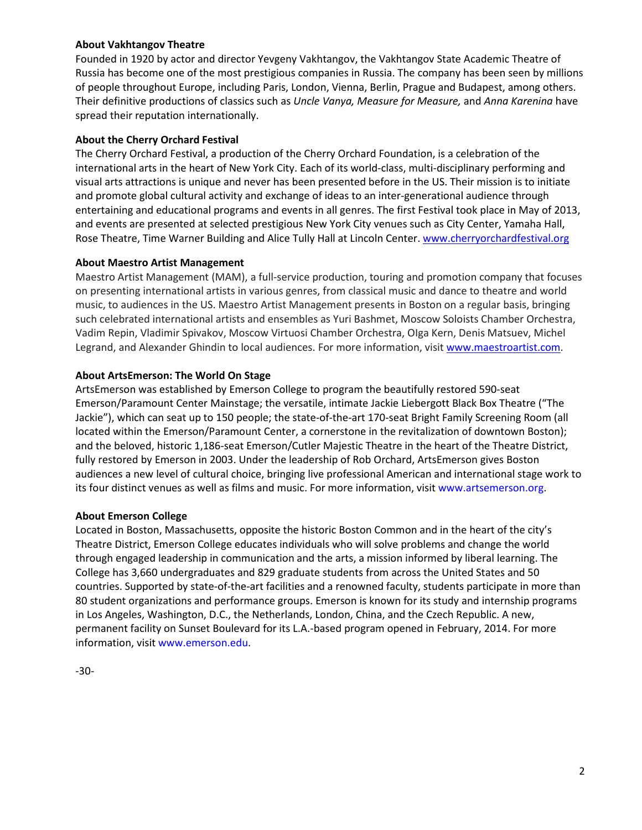## **About Vakhtangov Theatre**

Founded in 1920 by actor and director Yevgeny Vakhtangov, the Vakhtangov State Academic Theatre of Russia has become one of the most prestigious companies in Russia. The company has been seen by millions of people throughout Europe, including Paris, London, Vienna, Berlin, Prague and Budapest, among others. Their definitive productions of classics such as *Uncle Vanya, Measure for Measure,* and *Anna Karenina* have spread their reputation internationally.

## **About the Cherry Orchard Festival**

The Cherry Orchard Festival, a production of the Cherry Orchard Foundation, is a celebration of the international arts in the heart of New York City. Each of its world-class, multi-disciplinary performing and visual arts attractions is unique and never has been presented before in the US. Their mission is to initiate and promote global cultural activity and exchange of ideas to an inter-generational audience through entertaining and educational programs and events in all genres. The first Festival took place in May of 2013, and events are presented at selected prestigious New York City venues such as City Center, Yamaha Hall, Rose Theatre, Time Warner Building and Alice Tully Hall at Lincoln Center. www.cherryorchardfestival.org

#### **About Maestro Artist Management**

Maestro Artist Management (MAM), a full-service production, touring and promotion company that focuses on presenting international artists in various genres, from classical music and dance to theatre and world music, to audiences in the US. Maestro Artist Management presents in Boston on a regular basis, bringing such celebrated international artists and ensembles as Yuri Bashmet, Moscow Soloists Chamber Orchestra, Vadim Repin, Vladimir Spivakov, Moscow Virtuosi Chamber Orchestra, OIga Kern, Denis Matsuev, Michel Legrand, and Alexander Ghindin to local audiences. For more information, visit www.maestroartist.com.

# **About ArtsEmerson: The World On Stage**

ArtsEmerson was established by Emerson College to program the beautifully restored 590-seat Emerson/Paramount Center Mainstage; the versatile, intimate Jackie Liebergott Black Box Theatre ("The Jackie"), which can seat up to 150 people; the state-of-the-art 170-seat Bright Family Screening Room (all located within the Emerson/Paramount Center, a cornerstone in the revitalization of downtown Boston); and the beloved, historic 1,186-seat Emerson/Cutler Majestic Theatre in the heart of the Theatre District, fully restored by Emerson in 2003. Under the leadership of Rob Orchard, ArtsEmerson gives Boston audiences a new level of cultural choice, bringing live professional American and international stage work to its four distinct venues as well as films and music. For more information, visit www.artsemerson.org.

# **About Emerson College**

Located in Boston, Massachusetts, opposite the historic Boston Common and in the heart of the city's Theatre District, Emerson College educates individuals who will solve problems and change the world through engaged leadership in communication and the arts, a mission informed by liberal learning. The College has 3,660 undergraduates and 829 graduate students from across the United States and 50 countries. Supported by state-of-the-art facilities and a renowned faculty, students participate in more than 80 student organizations and performance groups. Emerson is known for its study and internship programs in Los Angeles, Washington, D.C., the Netherlands, London, China, and the Czech Republic. A new, permanent facility on Sunset Boulevard for its L.A.-based program opened in February, 2014. For more information, visit www.emerson.edu.

-30-